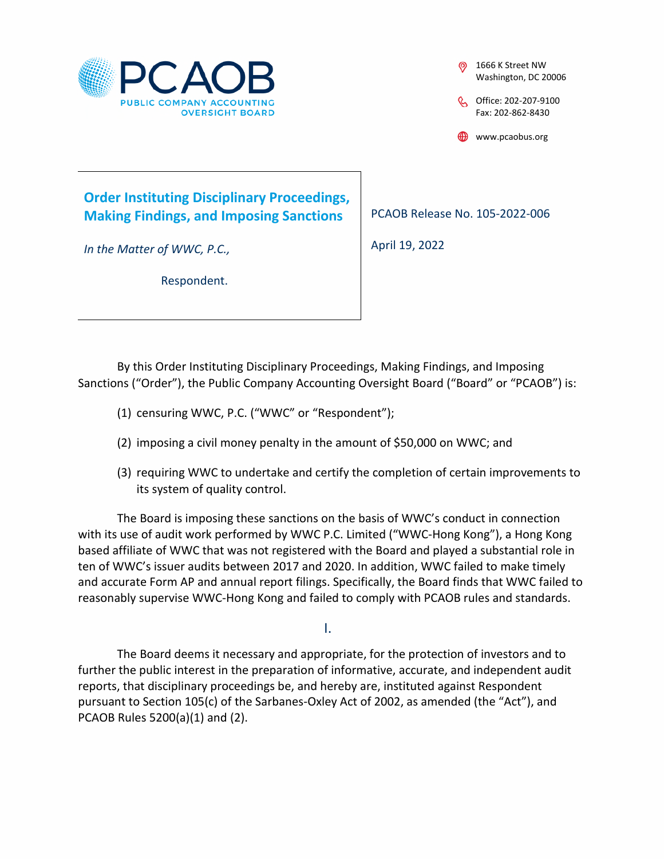

1666 K Street NW Washington, DC 20006

C Office: 202-207-9100 Fax: 202-862-8430

www.pcaobus.org

### **Order Instituting Disciplinary Proceedings, Making Findings, and Imposing Sanctions**

Respondent.

*In the Matter of WWC, P.C.,* 

PCAOB Release No. 105-2022-006

April 19, 2022

By this Order Instituting Disciplinary Proceedings, Making Findings, and Imposing

- Sanctions ("Order"), the Public Company Accounting Oversight Board ("Board" or "PCAOB") is:
	- (1) censuring WWC, P.C. ("WWC" or "Respondent");
	- (2) imposing a civil money penalty in the amount of \$50,000 on WWC; and
	- (3) requiring WWC to undertake and certify the completion of certain improvements to its system of quality control.

The Board is imposing these sanctions on the basis of WWC's conduct in connection with its use of audit work performed by WWC P.C. Limited ("WWC-Hong Kong"), a Hong Kong based affiliate of WWC that was not registered with the Board and played a substantial role in ten of WWC's issuer audits between 2017 and 2020. In addition, WWC failed to make timely and accurate Form AP and annual report filings. Specifically, the Board finds that WWC failed to reasonably supervise WWC-Hong Kong and failed to comply with PCAOB rules and standards.

I.

The Board deems it necessary and appropriate, for the protection of investors and to further the public interest in the preparation of informative, accurate, and independent audit reports, that disciplinary proceedings be, and hereby are, instituted against Respondent pursuant to Section 105(c) of the Sarbanes-Oxley Act of 2002, as amended (the "Act"), and PCAOB Rules 5200(a)(1) and (2).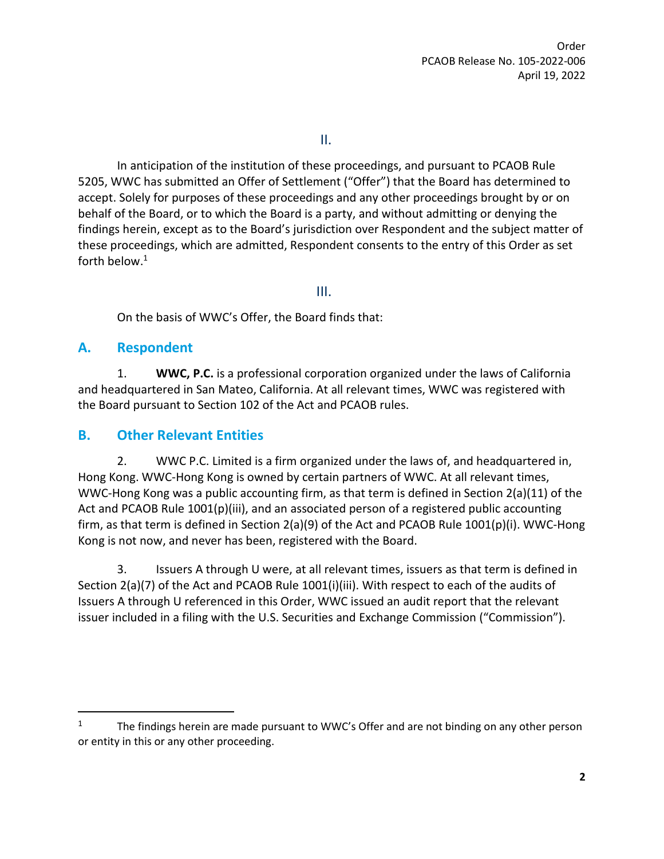II.

In anticipation of the institution of these proceedings, and pursuant to PCAOB Rule 5205, WWC has submitted an Offer of Settlement ("Offer") that the Board has determined to accept. Solely for purposes of these proceedings and any other proceedings brought by or on behalf of the Board, or to which the Board is a party, and without admitting or denying the findings herein, except as to the Board's jurisdiction over Respondent and the subject matter of these proceedings, which are admitted, Respondent consents to the entry of this Order as set forth below.<sup>1</sup>

III.

On the basis of WWC's Offer, the Board finds that:

#### **A. Respondent**

1. **WWC, P.C.** is a professional corporation organized under the laws of California and headquartered in San Mateo, California. At all relevant times, WWC was registered with the Board pursuant to Section 102 of the Act and PCAOB rules.

### **B. Other Relevant Entities**

2. WWC P.C. Limited is a firm organized under the laws of, and headquartered in, Hong Kong. WWC-Hong Kong is owned by certain partners of WWC. At all relevant times, WWC-Hong Kong was a public accounting firm, as that term is defined in Section 2(a)(11) of the Act and PCAOB Rule 1001(p)(iii), and an associated person of a registered public accounting firm, as that term is defined in Section 2(a)(9) of the Act and PCAOB Rule 1001(p)(i). WWC-Hong Kong is not now, and never has been, registered with the Board.

3. Issuers A through U were, at all relevant times, issuers as that term is defined in Section 2(a)(7) of the Act and PCAOB Rule 1001(i)(iii). With respect to each of the audits of Issuers A through U referenced in this Order, WWC issued an audit report that the relevant issuer included in a filing with the U.S. Securities and Exchange Commission ("Commission").

<sup>&</sup>lt;sup>1</sup> The findings herein are made pursuant to WWC's Offer and are not binding on any other person or entity in this or any other proceeding.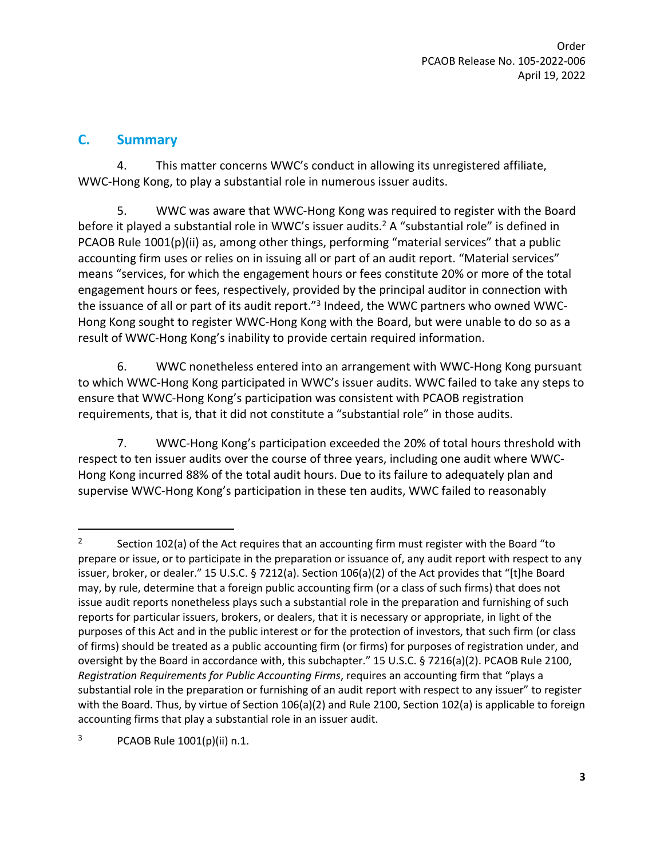Order PCAOB Release No. 105-2022-006 April 19, 2022

#### **C. Summary**

4. This matter concerns WWC's conduct in allowing its unregistered affiliate, WWC-Hong Kong, to play a substantial role in numerous issuer audits.

5. WWC was aware that WWC-Hong Kong was required to register with the Board before it played a substantial role in WWC's issuer audits.<sup>2</sup> A "substantial role" is defined in PCAOB Rule 1001(p)(ii) as, among other things, performing "material services" that a public accounting firm uses or relies on in issuing all or part of an audit report. "Material services" means "services, for which the engagement hours or fees constitute 20% or more of the total engagement hours or fees, respectively, provided by the principal auditor in connection with the issuance of all or part of its audit report."<sup>3</sup> Indeed, the WWC partners who owned WWC-Hong Kong sought to register WWC-Hong Kong with the Board, but were unable to do so as a result of WWC-Hong Kong's inability to provide certain required information.

6. WWC nonetheless entered into an arrangement with WWC-Hong Kong pursuant to which WWC-Hong Kong participated in WWC's issuer audits. WWC failed to take any steps to ensure that WWC-Hong Kong's participation was consistent with PCAOB registration requirements, that is, that it did not constitute a "substantial role" in those audits.

7. WWC-Hong Kong's participation exceeded the 20% of total hours threshold with respect to ten issuer audits over the course of three years, including one audit where WWC-Hong Kong incurred 88% of the total audit hours. Due to its failure to adequately plan and supervise WWC-Hong Kong's participation in these ten audits, WWC failed to reasonably

<sup>2</sup> Section 102(a) of the Act requires that an accounting firm must register with the Board "to prepare or issue, or to participate in the preparation or issuance of, any audit report with respect to any issuer, broker, or dealer." 15 U.S.C. § 7212(a). Section 106(a)(2) of the Act provides that "[t]he Board may, by rule, determine that a foreign public accounting firm (or a class of such firms) that does not issue audit reports nonetheless plays such a substantial role in the preparation and furnishing of such reports for particular issuers, brokers, or dealers, that it is necessary or appropriate, in light of the purposes of this Act and in the public interest or for the protection of investors, that such firm (or class of firms) should be treated as a public accounting firm (or firms) for purposes of registration under, and oversight by the Board in accordance with, this subchapter." 15 U.S.C. § 7216(a)(2). PCAOB Rule 2100, *Registration Requirements for Public Accounting Firms*, requires an accounting firm that "plays a substantial role in the preparation or furnishing of an audit report with respect to any issuer" to register with the Board. Thus, by virtue of Section 106(a)(2) and Rule 2100, Section 102(a) is applicable to foreign accounting firms that play a substantial role in an issuer audit.

 $3$  PCAOB Rule  $1001(p)(ii)$  n.1.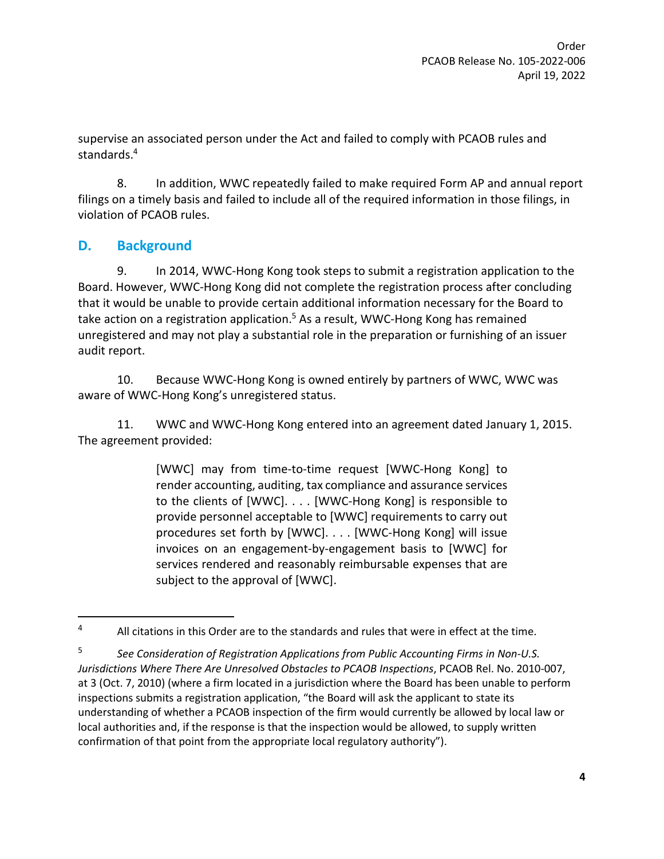supervise an associated person under the Act and failed to comply with PCAOB rules and standards.<sup>4</sup>

8. In addition, WWC repeatedly failed to make required Form AP and annual report filings on a timely basis and failed to include all of the required information in those filings, in violation of PCAOB rules.

### **D. Background**

9. In 2014, WWC-Hong Kong took steps to submit a registration application to the Board. However, WWC-Hong Kong did not complete the registration process after concluding that it would be unable to provide certain additional information necessary for the Board to take action on a registration application.<sup>5</sup> As a result, WWC-Hong Kong has remained unregistered and may not play a substantial role in the preparation or furnishing of an issuer audit report.

10. Because WWC-Hong Kong is owned entirely by partners of WWC, WWC was aware of WWC-Hong Kong's unregistered status.

11. WWC and WWC-Hong Kong entered into an agreement dated January 1, 2015. The agreement provided:

> [WWC] may from time-to-time request [WWC-Hong Kong] to render accounting, auditing, tax compliance and assurance services to the clients of [WWC]. . . . [WWC-Hong Kong] is responsible to provide personnel acceptable to [WWC] requirements to carry out procedures set forth by [WWC]. . . . [WWC-Hong Kong] will issue invoices on an engagement-by-engagement basis to [WWC] for services rendered and reasonably reimbursable expenses that are subject to the approval of [WWC].

 $4$  All citations in this Order are to the standards and rules that were in effect at the time.

<sup>5</sup> *See Consideration of Registration Applications from Public Accounting Firms in Non-U.S. Jurisdictions Where There Are Unresolved Obstacles to PCAOB Inspections*, PCAOB Rel. No. 2010-007, at 3 (Oct. 7, 2010) (where a firm located in a jurisdiction where the Board has been unable to perform inspections submits a registration application, "the Board will ask the applicant to state its understanding of whether a PCAOB inspection of the firm would currently be allowed by local law or local authorities and, if the response is that the inspection would be allowed, to supply written confirmation of that point from the appropriate local regulatory authority").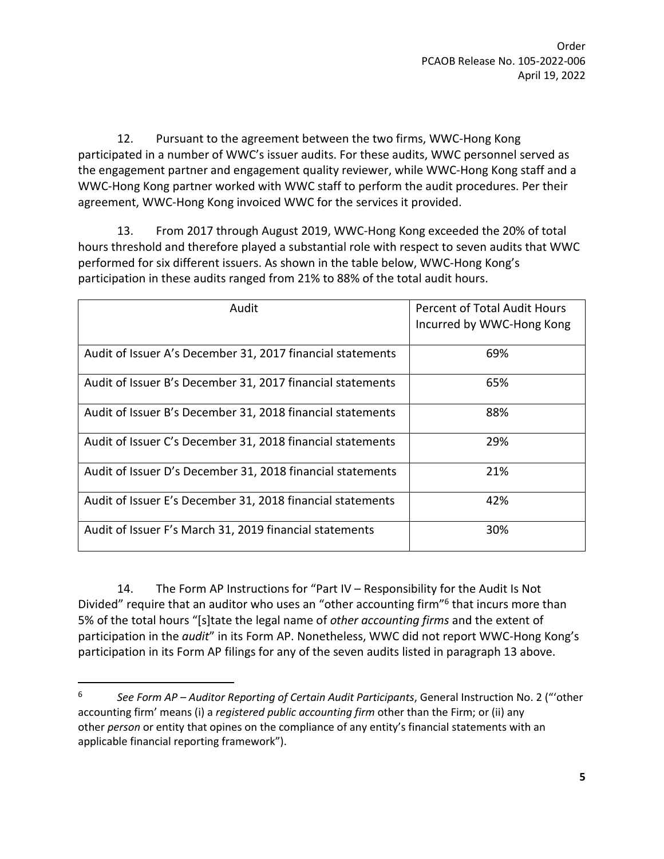12. Pursuant to the agreement between the two firms, WWC-Hong Kong participated in a number of WWC's issuer audits. For these audits, WWC personnel served as the engagement partner and engagement quality reviewer, while WWC-Hong Kong staff and a WWC-Hong Kong partner worked with WWC staff to perform the audit procedures. Per their agreement, WWC-Hong Kong invoiced WWC for the services it provided.

13. From 2017 through August 2019, WWC-Hong Kong exceeded the 20% of total hours threshold and therefore played a substantial role with respect to seven audits that WWC performed for six different issuers. As shown in the table below, WWC-Hong Kong's participation in these audits ranged from 21% to 88% of the total audit hours.

| Audit                                                      | Percent of Total Audit Hours<br>Incurred by WWC-Hong Kong |
|------------------------------------------------------------|-----------------------------------------------------------|
| Audit of Issuer A's December 31, 2017 financial statements | 69%                                                       |
| Audit of Issuer B's December 31, 2017 financial statements | 65%                                                       |
| Audit of Issuer B's December 31, 2018 financial statements | 88%                                                       |
| Audit of Issuer C's December 31, 2018 financial statements | 29%                                                       |
| Audit of Issuer D's December 31, 2018 financial statements | 21%                                                       |
| Audit of Issuer E's December 31, 2018 financial statements | 42%                                                       |
| Audit of Issuer F's March 31, 2019 financial statements    | 30%                                                       |

14. The Form AP Instructions for "Part IV – Responsibility for the Audit Is Not Divided" require that an auditor who uses an "other accounting firm"<sup>6</sup> that incurs more than 5% of the total hours "[s]tate the legal name of *other accounting firms* and the extent of participation in the *audit*" in its Form AP. Nonetheless, WWC did not report WWC-Hong Kong's participation in its Form AP filings for any of the seven audits listed in paragraph 13 above.

<sup>6</sup> *See Form AP – Auditor Reporting of Certain Audit Participants*, General Instruction No. 2 ("'other accounting firm' means (i) a *registered public accounting firm* other than the Firm; or (ii) any other *person* or entity that opines on the compliance of any entity's financial statements with an applicable financial reporting framework").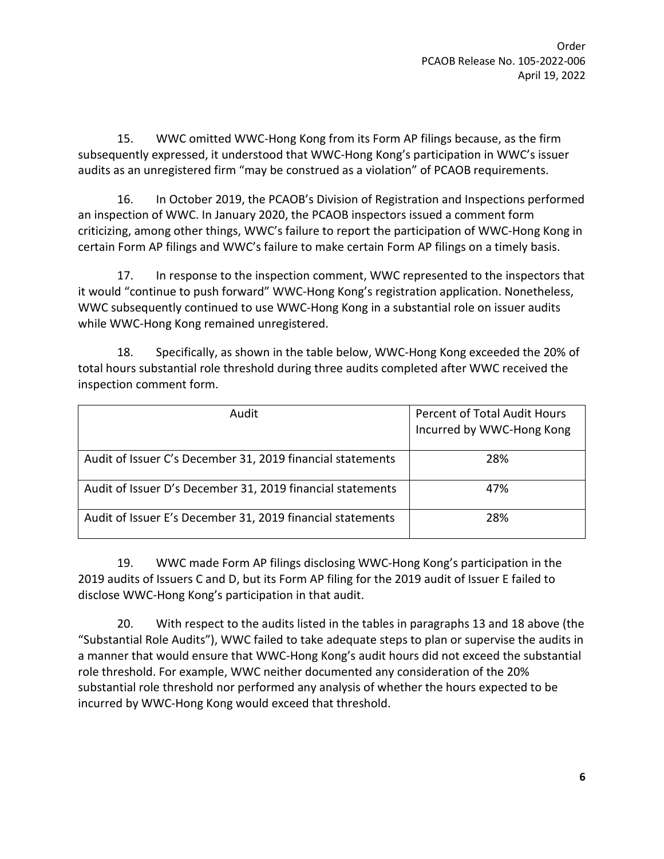15. WWC omitted WWC-Hong Kong from its Form AP filings because, as the firm subsequently expressed, it understood that WWC-Hong Kong's participation in WWC's issuer audits as an unregistered firm "may be construed as a violation" of PCAOB requirements.

16. In October 2019, the PCAOB's Division of Registration and Inspections performed an inspection of WWC. In January 2020, the PCAOB inspectors issued a comment form criticizing, among other things, WWC's failure to report the participation of WWC-Hong Kong in certain Form AP filings and WWC's failure to make certain Form AP filings on a timely basis.

17. In response to the inspection comment, WWC represented to the inspectors that it would "continue to push forward" WWC-Hong Kong's registration application. Nonetheless, WWC subsequently continued to use WWC-Hong Kong in a substantial role on issuer audits while WWC-Hong Kong remained unregistered.

18. Specifically, as shown in the table below, WWC-Hong Kong exceeded the 20% of total hours substantial role threshold during three audits completed after WWC received the inspection comment form.

| Audit                                                      | Percent of Total Audit Hours<br>Incurred by WWC-Hong Kong |
|------------------------------------------------------------|-----------------------------------------------------------|
| Audit of Issuer C's December 31, 2019 financial statements | 28%                                                       |
| Audit of Issuer D's December 31, 2019 financial statements | 47%                                                       |
| Audit of Issuer E's December 31, 2019 financial statements | 28%                                                       |

19. WWC made Form AP filings disclosing WWC-Hong Kong's participation in the 2019 audits of Issuers C and D, but its Form AP filing for the 2019 audit of Issuer E failed to disclose WWC-Hong Kong's participation in that audit.

20. With respect to the audits listed in the tables in paragraphs 13 and 18 above (the "Substantial Role Audits"), WWC failed to take adequate steps to plan or supervise the audits in a manner that would ensure that WWC-Hong Kong's audit hours did not exceed the substantial role threshold. For example, WWC neither documented any consideration of the 20% substantial role threshold nor performed any analysis of whether the hours expected to be incurred by WWC-Hong Kong would exceed that threshold.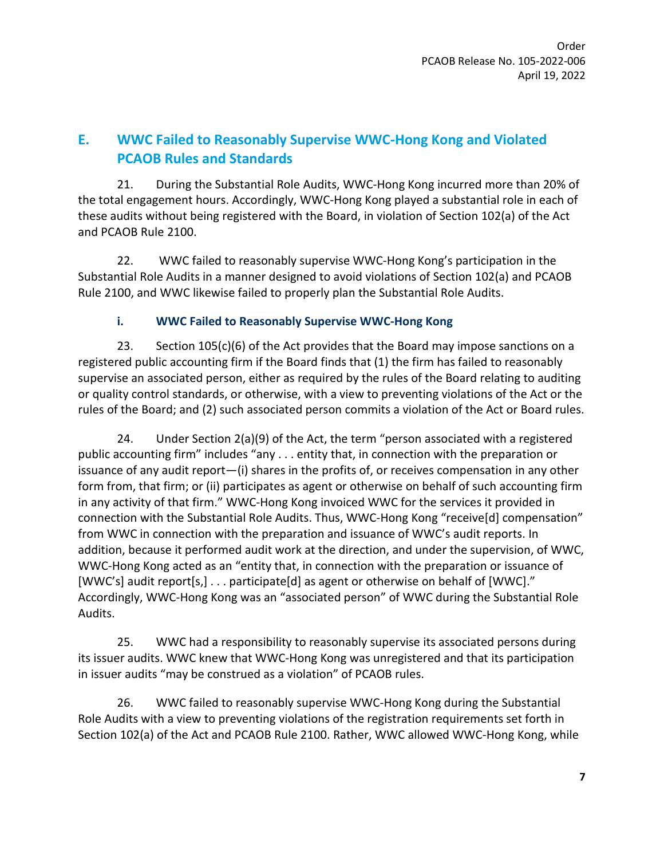# **E. WWC Failed to Reasonably Supervise WWC-Hong Kong and Violated PCAOB Rules and Standards**

21. During the Substantial Role Audits, WWC-Hong Kong incurred more than 20% of the total engagement hours. Accordingly, WWC-Hong Kong played a substantial role in each of these audits without being registered with the Board, in violation of Section 102(a) of the Act and PCAOB Rule 2100.

22. WWC failed to reasonably supervise WWC-Hong Kong's participation in the Substantial Role Audits in a manner designed to avoid violations of Section 102(a) and PCAOB Rule 2100, and WWC likewise failed to properly plan the Substantial Role Audits.

#### **i. WWC Failed to Reasonably Supervise WWC-Hong Kong**

23. Section  $105(c)(6)$  of the Act provides that the Board may impose sanctions on a registered public accounting firm if the Board finds that (1) the firm has failed to reasonably supervise an associated person, either as required by the rules of the Board relating to auditing or quality control standards, or otherwise, with a view to preventing violations of the Act or the rules of the Board; and (2) such associated person commits a violation of the Act or Board rules.

24. Under Section 2(a)(9) of the Act, the term "person associated with a registered public accounting firm" includes "any . . . entity that, in connection with the preparation or issuance of any audit report—(i) shares in the profits of, or receives compensation in any other form from, that firm; or (ii) participates as agent or otherwise on behalf of such accounting firm in any activity of that firm." WWC-Hong Kong invoiced WWC for the services it provided in connection with the Substantial Role Audits. Thus, WWC-Hong Kong "receive[d] compensation" from WWC in connection with the preparation and issuance of WWC's audit reports. In addition, because it performed audit work at the direction, and under the supervision, of WWC, WWC-Hong Kong acted as an "entity that, in connection with the preparation or issuance of [WWC's] audit report[s,] . . . participate[d] as agent or otherwise on behalf of [WWC]." Accordingly, WWC-Hong Kong was an "associated person" of WWC during the Substantial Role Audits.

25. WWC had a responsibility to reasonably supervise its associated persons during its issuer audits. WWC knew that WWC-Hong Kong was unregistered and that its participation in issuer audits "may be construed as a violation" of PCAOB rules.

26. WWC failed to reasonably supervise WWC-Hong Kong during the Substantial Role Audits with a view to preventing violations of the registration requirements set forth in Section 102(a) of the Act and PCAOB Rule 2100. Rather, WWC allowed WWC-Hong Kong, while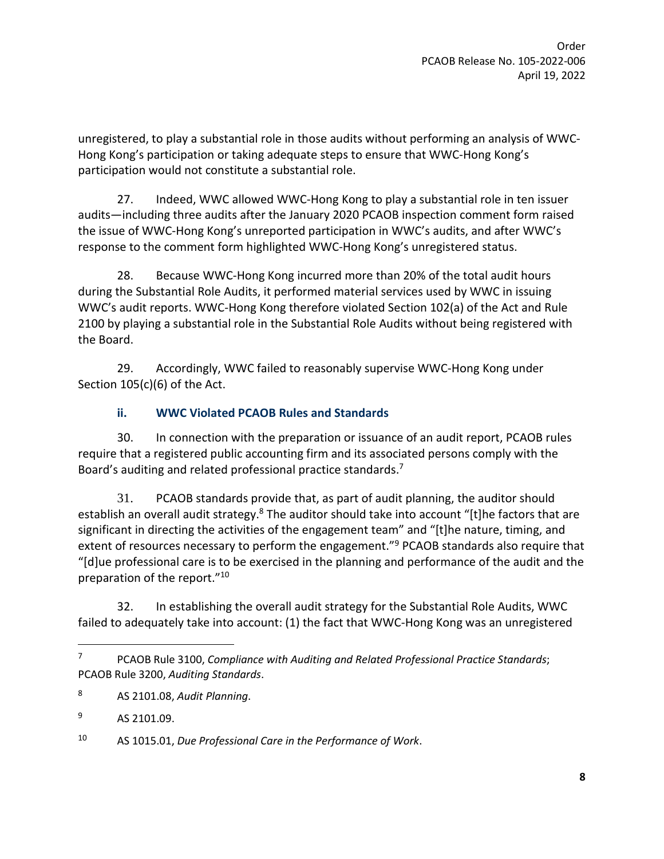unregistered, to play a substantial role in those audits without performing an analysis of WWC-Hong Kong's participation or taking adequate steps to ensure that WWC-Hong Kong's participation would not constitute a substantial role.

27. Indeed, WWC allowed WWC-Hong Kong to play a substantial role in ten issuer audits—including three audits after the January 2020 PCAOB inspection comment form raised the issue of WWC-Hong Kong's unreported participation in WWC's audits, and after WWC's response to the comment form highlighted WWC-Hong Kong's unregistered status.

28. Because WWC-Hong Kong incurred more than 20% of the total audit hours during the Substantial Role Audits, it performed material services used by WWC in issuing WWC's audit reports. WWC-Hong Kong therefore violated Section 102(a) of the Act and Rule 2100 by playing a substantial role in the Substantial Role Audits without being registered with the Board.

29. Accordingly, WWC failed to reasonably supervise WWC-Hong Kong under Section 105(c)(6) of the Act.

#### **ii. WWC Violated PCAOB Rules and Standards**

30. In connection with the preparation or issuance of an audit report, PCAOB rules require that a registered public accounting firm and its associated persons comply with the Board's auditing and related professional practice standards.<sup>7</sup>

31. PCAOB standards provide that, as part of audit planning, the auditor should establish an overall audit strategy.<sup>8</sup> The auditor should take into account "[t]he factors that are significant in directing the activities of the engagement team" and "[t]he nature, timing, and extent of resources necessary to perform the engagement."<sup>9</sup> PCAOB standards also require that "[d]ue professional care is to be exercised in the planning and performance of the audit and the preparation of the report."<sup>10</sup>

32. In establishing the overall audit strategy for the Substantial Role Audits, WWC failed to adequately take into account: (1) the fact that WWC-Hong Kong was an unregistered

<sup>7</sup> PCAOB Rule 3100, *Compliance with Auditing and Related Professional Practice Standards*; PCAOB Rule 3200, *Auditing Standards*.

<sup>8</sup> AS 2101.08, *Audit Planning*.

<sup>&</sup>lt;sup>9</sup> AS 2101.09.

<sup>10</sup> AS 1015.01, *Due Professional Care in the Performance of Work*.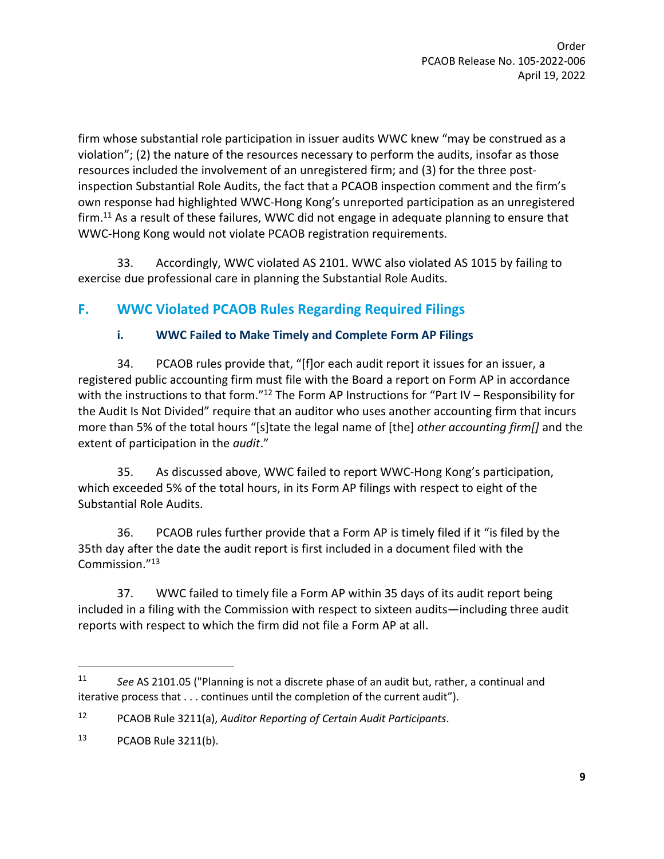firm whose substantial role participation in issuer audits WWC knew "may be construed as a violation"; (2) the nature of the resources necessary to perform the audits, insofar as those resources included the involvement of an unregistered firm; and (3) for the three postinspection Substantial Role Audits, the fact that a PCAOB inspection comment and the firm's own response had highlighted WWC-Hong Kong's unreported participation as an unregistered firm.<sup>11</sup> As a result of these failures, WWC did not engage in adequate planning to ensure that WWC-Hong Kong would not violate PCAOB registration requirements.

33. Accordingly, WWC violated AS 2101. WWC also violated AS 1015 by failing to exercise due professional care in planning the Substantial Role Audits.

# **F. WWC Violated PCAOB Rules Regarding Required Filings**

### **i. WWC Failed to Make Timely and Complete Form AP Filings**

34. PCAOB rules provide that, "[f]or each audit report it issues for an issuer, a registered public accounting firm must file with the Board a report on Form AP in accordance with the instructions to that form."<sup>12</sup> The Form AP Instructions for "Part IV – Responsibility for the Audit Is Not Divided" require that an auditor who uses another accounting firm that incurs more than 5% of the total hours "[s]tate the legal name of [the] *other accounting firm[]* and the extent of participation in the *audit*."

35. As discussed above, WWC failed to report WWC-Hong Kong's participation, which exceeded 5% of the total hours, in its Form AP filings with respect to eight of the Substantial Role Audits.

36. PCAOB rules further provide that a Form AP is timely filed if it "is filed by the 35th day after the date the audit report is first included in a document filed with the Commission."<sup>13</sup>

37. WWC failed to timely file a Form AP within 35 days of its audit report being included in a filing with the Commission with respect to sixteen audits—including three audit reports with respect to which the firm did not file a Form AP at all.

<sup>11</sup> *See* AS 2101.05 ("Planning is not a discrete phase of an audit but, rather, a continual and iterative process that . . . continues until the completion of the current audit").

<sup>12</sup> PCAOB Rule 3211(a), *Auditor Reporting of Certain Audit Participants*.

<sup>13</sup> PCAOB Rule 3211(b).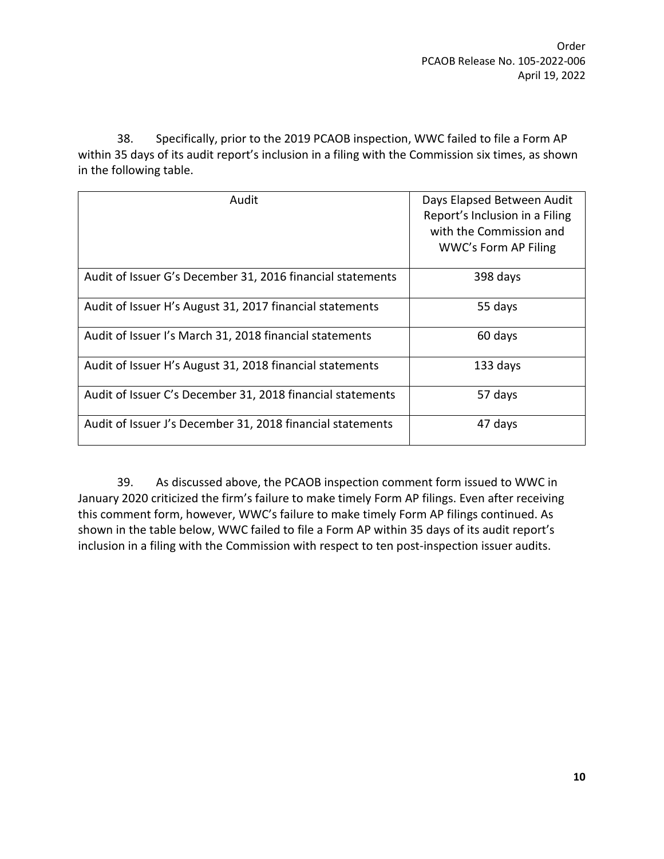38. Specifically, prior to the 2019 PCAOB inspection, WWC failed to file a Form AP within 35 days of its audit report's inclusion in a filing with the Commission six times, as shown in the following table.

| Audit                                                      | Days Elapsed Between Audit<br>Report's Inclusion in a Filing<br>with the Commission and<br>WWC's Form AP Filing |
|------------------------------------------------------------|-----------------------------------------------------------------------------------------------------------------|
| Audit of Issuer G's December 31, 2016 financial statements | 398 days                                                                                                        |
| Audit of Issuer H's August 31, 2017 financial statements   | 55 days                                                                                                         |
| Audit of Issuer I's March 31, 2018 financial statements    | 60 days                                                                                                         |
| Audit of Issuer H's August 31, 2018 financial statements   | 133 days                                                                                                        |
| Audit of Issuer C's December 31, 2018 financial statements | 57 days                                                                                                         |
| Audit of Issuer J's December 31, 2018 financial statements | 47 days                                                                                                         |

39. As discussed above, the PCAOB inspection comment form issued to WWC in January 2020 criticized the firm's failure to make timely Form AP filings. Even after receiving this comment form, however, WWC's failure to make timely Form AP filings continued. As shown in the table below, WWC failed to file a Form AP within 35 days of its audit report's inclusion in a filing with the Commission with respect to ten post-inspection issuer audits.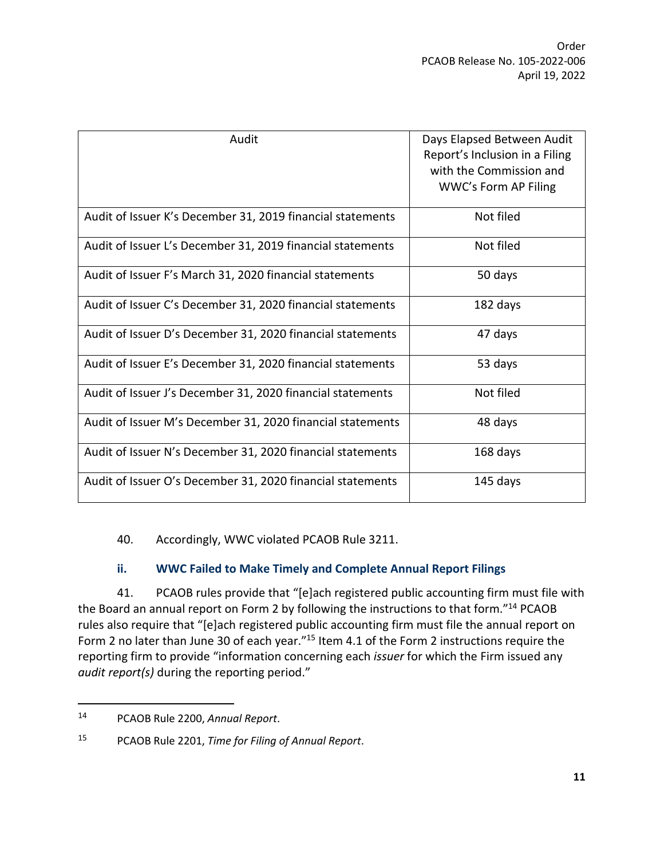| Audit                                                      | Days Elapsed Between Audit     |
|------------------------------------------------------------|--------------------------------|
|                                                            | Report's Inclusion in a Filing |
|                                                            | with the Commission and        |
|                                                            | WWC's Form AP Filing           |
| Audit of Issuer K's December 31, 2019 financial statements | Not filed                      |
| Audit of Issuer L's December 31, 2019 financial statements | Not filed                      |
| Audit of Issuer F's March 31, 2020 financial statements    | 50 days                        |
| Audit of Issuer C's December 31, 2020 financial statements | 182 days                       |
| Audit of Issuer D's December 31, 2020 financial statements | 47 days                        |
| Audit of Issuer E's December 31, 2020 financial statements | 53 days                        |
| Audit of Issuer J's December 31, 2020 financial statements | Not filed                      |
| Audit of Issuer M's December 31, 2020 financial statements | 48 days                        |
| Audit of Issuer N's December 31, 2020 financial statements | 168 days                       |
| Audit of Issuer O's December 31, 2020 financial statements | 145 days                       |

40. Accordingly, WWC violated PCAOB Rule 3211.

#### **ii. WWC Failed to Make Timely and Complete Annual Report Filings**

41. PCAOB rules provide that "[e]ach registered public accounting firm must file with the Board an annual report on Form 2 by following the instructions to that form."<sup>14</sup> PCAOB rules also require that "[e]ach registered public accounting firm must file the annual report on Form 2 no later than June 30 of each year."<sup>15</sup> Item 4.1 of the Form 2 instructions require the reporting firm to provide "information concerning each *issuer* for which the Firm issued any *audit report(s)* during the reporting period."

<sup>14</sup> PCAOB Rule 2200, *Annual Report*.

<sup>15</sup> PCAOB Rule 2201, *Time for Filing of Annual Report*.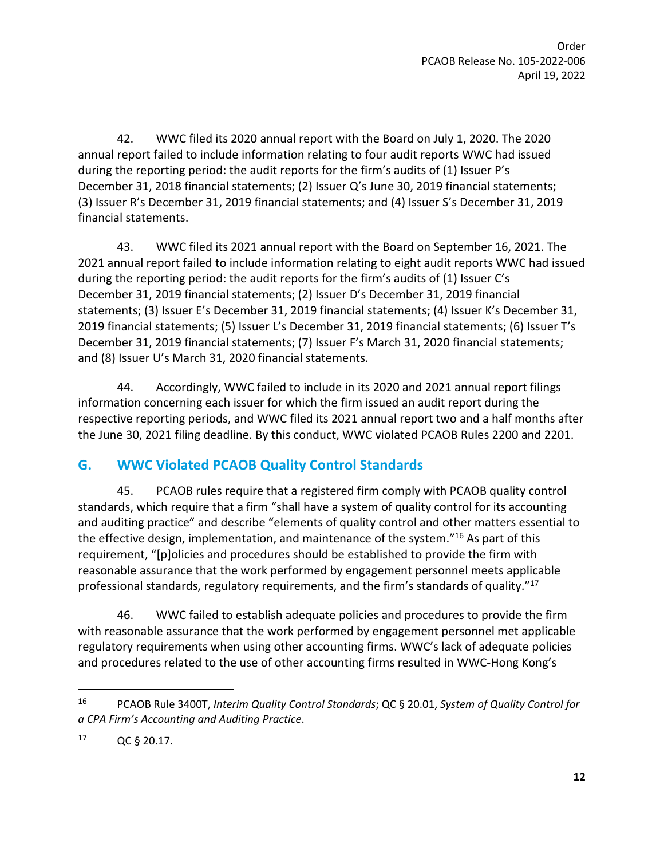42. WWC filed its 2020 annual report with the Board on July 1, 2020. The 2020 annual report failed to include information relating to four audit reports WWC had issued during the reporting period: the audit reports for the firm's audits of (1) Issuer P's December 31, 2018 financial statements; (2) Issuer Q's June 30, 2019 financial statements; (3) Issuer R's December 31, 2019 financial statements; and (4) Issuer S's December 31, 2019 financial statements.

43. WWC filed its 2021 annual report with the Board on September 16, 2021. The 2021 annual report failed to include information relating to eight audit reports WWC had issued during the reporting period: the audit reports for the firm's audits of (1) Issuer C's December 31, 2019 financial statements; (2) Issuer D's December 31, 2019 financial statements; (3) Issuer E's December 31, 2019 financial statements; (4) Issuer K's December 31, 2019 financial statements; (5) Issuer L's December 31, 2019 financial statements; (6) Issuer T's December 31, 2019 financial statements; (7) Issuer F's March 31, 2020 financial statements; and (8) Issuer U's March 31, 2020 financial statements.

44. Accordingly, WWC failed to include in its 2020 and 2021 annual report filings information concerning each issuer for which the firm issued an audit report during the respective reporting periods, and WWC filed its 2021 annual report two and a half months after the June 30, 2021 filing deadline. By this conduct, WWC violated PCAOB Rules 2200 and 2201.

# **G. WWC Violated PCAOB Quality Control Standards**

45. PCAOB rules require that a registered firm comply with PCAOB quality control standards, which require that a firm "shall have a system of quality control for its accounting and auditing practice" and describe "elements of quality control and other matters essential to the effective design, implementation, and maintenance of the system."<sup>16</sup> As part of this requirement, "[p]olicies and procedures should be established to provide the firm with reasonable assurance that the work performed by engagement personnel meets applicable professional standards, regulatory requirements, and the firm's standards of quality."<sup>17</sup>

46. WWC failed to establish adequate policies and procedures to provide the firm with reasonable assurance that the work performed by engagement personnel met applicable regulatory requirements when using other accounting firms. WWC's lack of adequate policies and procedures related to the use of other accounting firms resulted in WWC-Hong Kong's

<sup>16</sup> PCAOB Rule 3400T, *Interim Quality Control Standards*; QC § 20.01, *System of Quality Control for a CPA Firm's Accounting and Auditing Practice*.

<sup>17</sup> QC § 20.17.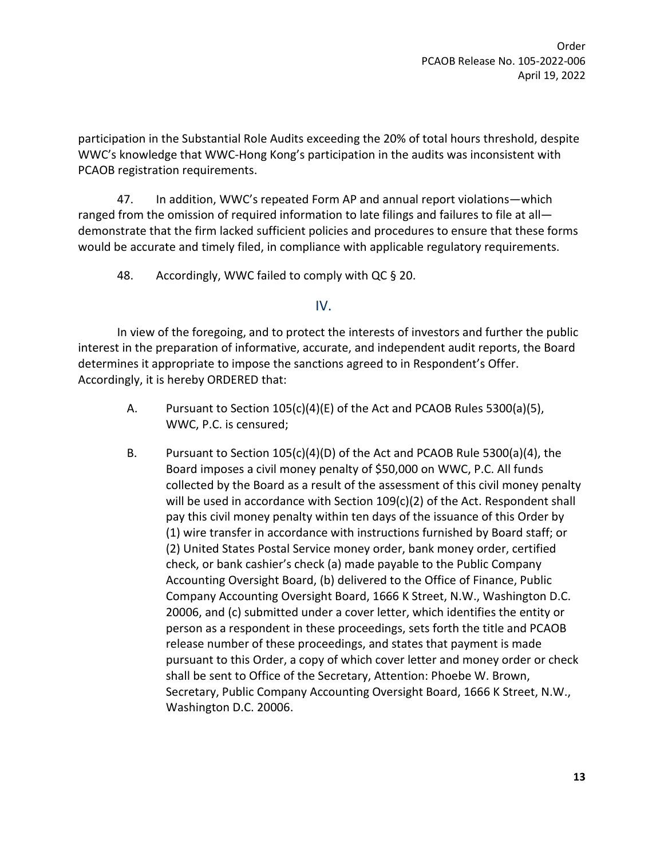Order PCAOB Release No. 105-2022-006 April 19, 2022

participation in the Substantial Role Audits exceeding the 20% of total hours threshold, despite WWC's knowledge that WWC-Hong Kong's participation in the audits was inconsistent with PCAOB registration requirements.

47. In addition, WWC's repeated Form AP and annual report violations—which ranged from the omission of required information to late filings and failures to file at all demonstrate that the firm lacked sufficient policies and procedures to ensure that these forms would be accurate and timely filed, in compliance with applicable regulatory requirements.

48. Accordingly, WWC failed to comply with QC § 20.

#### IV.

In view of the foregoing, and to protect the interests of investors and further the public interest in the preparation of informative, accurate, and independent audit reports, the Board determines it appropriate to impose the sanctions agreed to in Respondent's Offer. Accordingly, it is hereby ORDERED that:

- A. Pursuant to Section  $105(c)(4)(E)$  of the Act and PCAOB Rules 5300(a)(5), WWC, P.C. is censured;
- B. Pursuant to Section 105(c)(4)(D) of the Act and PCAOB Rule 5300(a)(4), the Board imposes a civil money penalty of \$50,000 on WWC, P.C. All funds collected by the Board as a result of the assessment of this civil money penalty will be used in accordance with Section 109(c)(2) of the Act. Respondent shall pay this civil money penalty within ten days of the issuance of this Order by (1) wire transfer in accordance with instructions furnished by Board staff; or (2) United States Postal Service money order, bank money order, certified check, or bank cashier's check (a) made payable to the Public Company Accounting Oversight Board, (b) delivered to the Office of Finance, Public Company Accounting Oversight Board, 1666 K Street, N.W., Washington D.C. 20006, and (c) submitted under a cover letter, which identifies the entity or person as a respondent in these proceedings, sets forth the title and PCAOB release number of these proceedings, and states that payment is made pursuant to this Order, a copy of which cover letter and money order or check shall be sent to Office of the Secretary, Attention: Phoebe W. Brown, Secretary, Public Company Accounting Oversight Board, 1666 K Street, N.W., Washington D.C. 20006.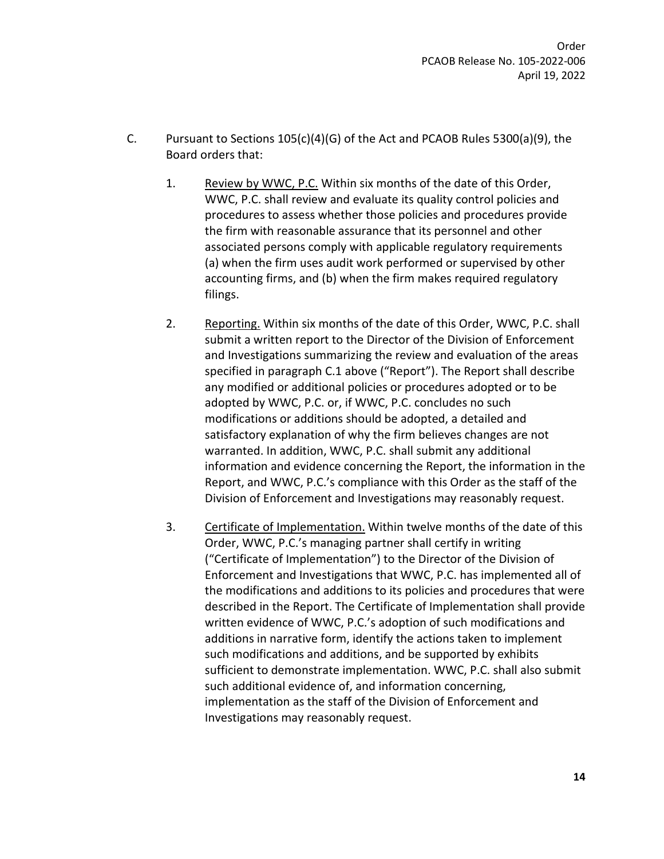- C. Pursuant to Sections 105(c)(4)(G) of the Act and PCAOB Rules 5300(a)(9), the Board orders that:
	- 1. Review by WWC, P.C. Within six months of the date of this Order, WWC, P.C. shall review and evaluate its quality control policies and procedures to assess whether those policies and procedures provide the firm with reasonable assurance that its personnel and other associated persons comply with applicable regulatory requirements (a) when the firm uses audit work performed or supervised by other accounting firms, and (b) when the firm makes required regulatory filings.
	- 2. Reporting. Within six months of the date of this Order, WWC, P.C. shall submit a written report to the Director of the Division of Enforcement and Investigations summarizing the review and evaluation of the areas specified in paragraph C.1 above ("Report"). The Report shall describe any modified or additional policies or procedures adopted or to be adopted by WWC, P.C. or, if WWC, P.C. concludes no such modifications or additions should be adopted, a detailed and satisfactory explanation of why the firm believes changes are not warranted. In addition, WWC, P.C. shall submit any additional information and evidence concerning the Report, the information in the Report, and WWC, P.C.'s compliance with this Order as the staff of the Division of Enforcement and Investigations may reasonably request.
	- 3. Certificate of Implementation. Within twelve months of the date of this Order, WWC, P.C.'s managing partner shall certify in writing ("Certificate of Implementation") to the Director of the Division of Enforcement and Investigations that WWC, P.C. has implemented all of the modifications and additions to its policies and procedures that were described in the Report. The Certificate of Implementation shall provide written evidence of WWC, P.C.'s adoption of such modifications and additions in narrative form, identify the actions taken to implement such modifications and additions, and be supported by exhibits sufficient to demonstrate implementation. WWC, P.C. shall also submit such additional evidence of, and information concerning, implementation as the staff of the Division of Enforcement and Investigations may reasonably request.